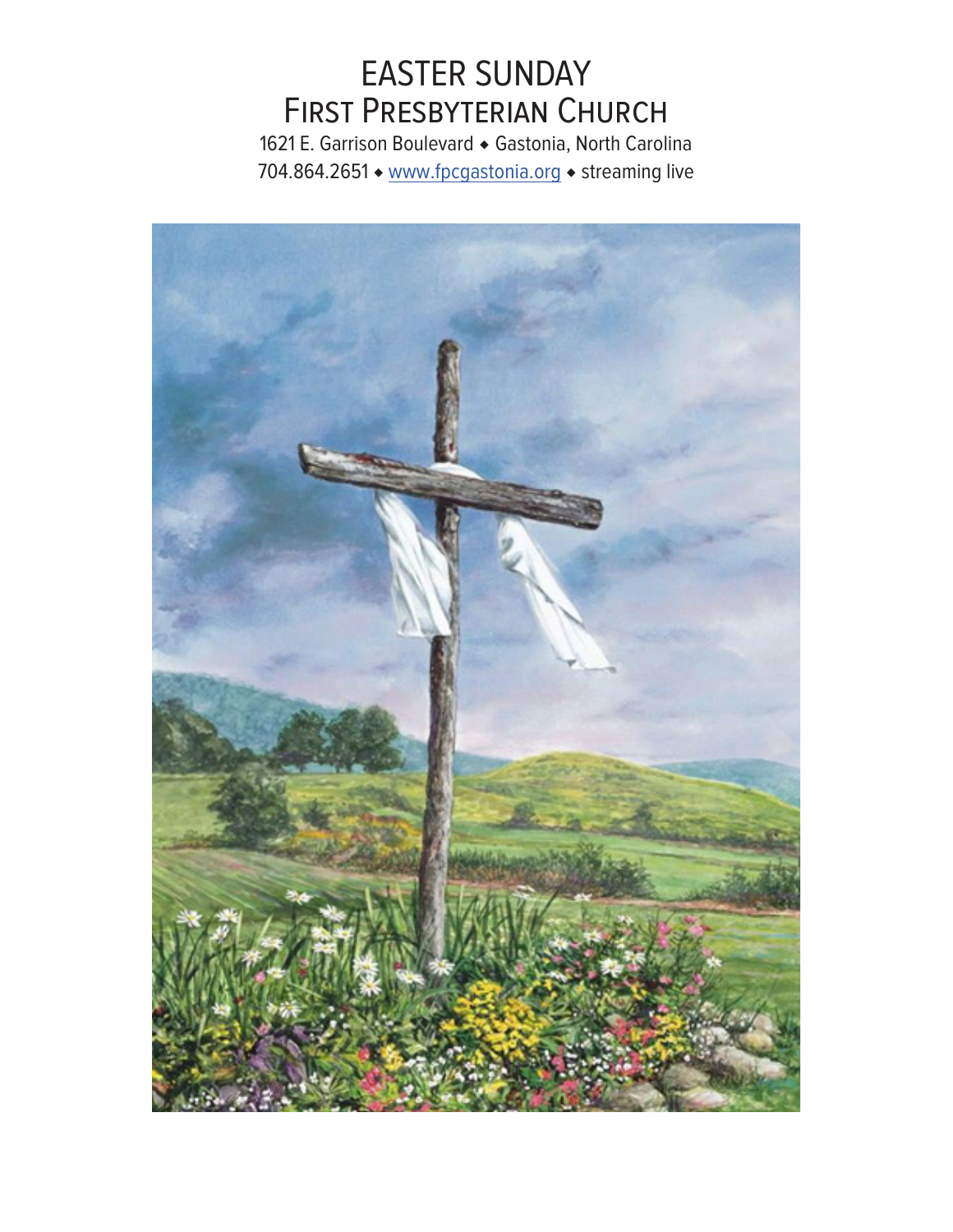# EASTER SUNDAY First Presbyterian Church

1621 E. Garrison Boulevard ◆ Gastonia, North Carolina 704.864.2651 ◆ www.fpcgastonia.org ◆ streaming live

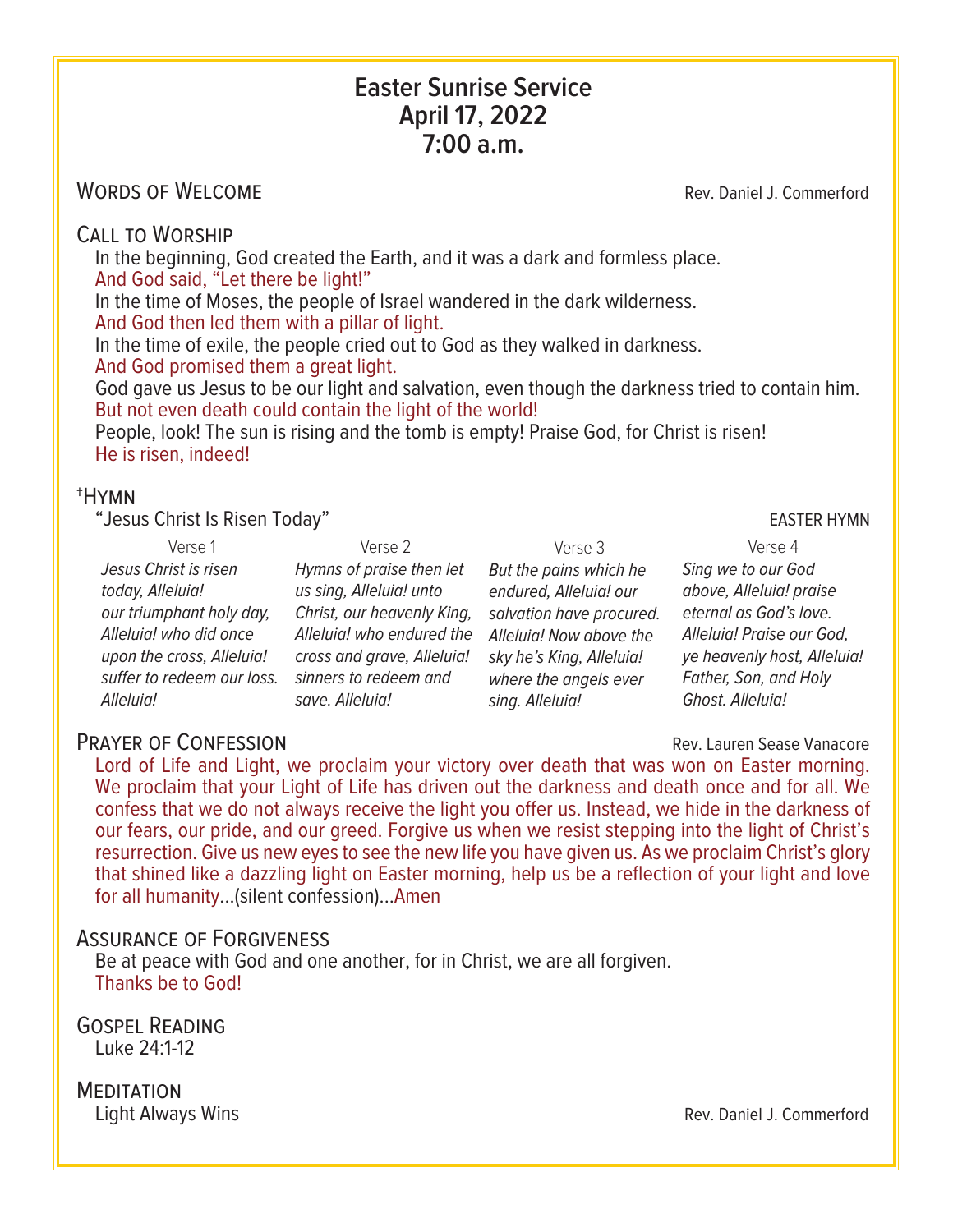## **Easter Sunrise Service April 17, 2022 7:00 a.m.**

## WORDS OF WELCOME NOTE: NOTE: NORDS OF WELCOME

Call to Worship In the beginning, God created the Earth, and it was a dark and formless place. And God said, "Let there be light!"

In the time of Moses, the people of Israel wandered in the dark wilderness. And God then led them with a pillar of light.

In the time of exile, the people cried out to God as they walked in darkness. And God promised them a great light.

God gave us Jesus to be our light and salvation, even though the darkness tried to contain him. But not even death could contain the light of the world!

People, look! The sun is rising and the tomb is empty! Praise God, for Christ is risen! He is risen, indeed!

## †Hymn

"Jesus Christ Is Risen Today" The Contract of the Contract of the Contract of the EASTER HYMN

| Verse 1                    | Verse 2                    | Verse 3                  | Verse 4                     |
|----------------------------|----------------------------|--------------------------|-----------------------------|
| Jesus Christ is risen      | Hymns of praise then let   | But the pains which he   | Sing we to our God          |
| today, Alleluia!           | us sing, Alleluia! unto    | endured, Alleluia! our   | above, Alleluia! praise     |
| our triumphant holy day,   | Christ, our heavenly King, | salvation have procured. | eternal as God's love.      |
| Alleluia! who did once     | Alleluia! who endured the  | Alleluia! Now above the  | Alleluia! Praise our God,   |
| upon the cross, Alleluia!  | cross and grave, Alleluia! | sky he's King, Alleluia! | ye heavenly host, Alleluia! |
| suffer to redeem our loss. | sinners to redeem and      | where the angels ever    | Father, Son, and Holy       |
| Alleluia!                  | save. Alleluia!            | sing. Alleluia!          | Ghost. Alleluia!            |
|                            |                            |                          |                             |

## **PRAYER OF CONFESSION CONFESSION Rev. Lauren Sease Vanacore**

Lord of Life and Light, we proclaim your victory over death that was won on Easter morning. We proclaim that your Light of Life has driven out the darkness and death once and for all. We confess that we do not always receive the light you offer us. Instead, we hide in the darkness of our fears, our pride, and our greed. Forgive us when we resist stepping into the light of Christ's resurrection. Give us new eyes to see the new life you have given us. As we proclaim Christ's glory that shined like a dazzling light on Easter morning, help us be a reflection of your light and love for all humanity...(silent confession)...Amen

## Assurance of Forgiveness

Be at peace with God and one another, for in Christ, we are all forgiven. Thanks be to God!

Gospel Reading Luke 24:1-12

MEDITATION<br>
Light Always Wins Rev. Daniel J. Commerford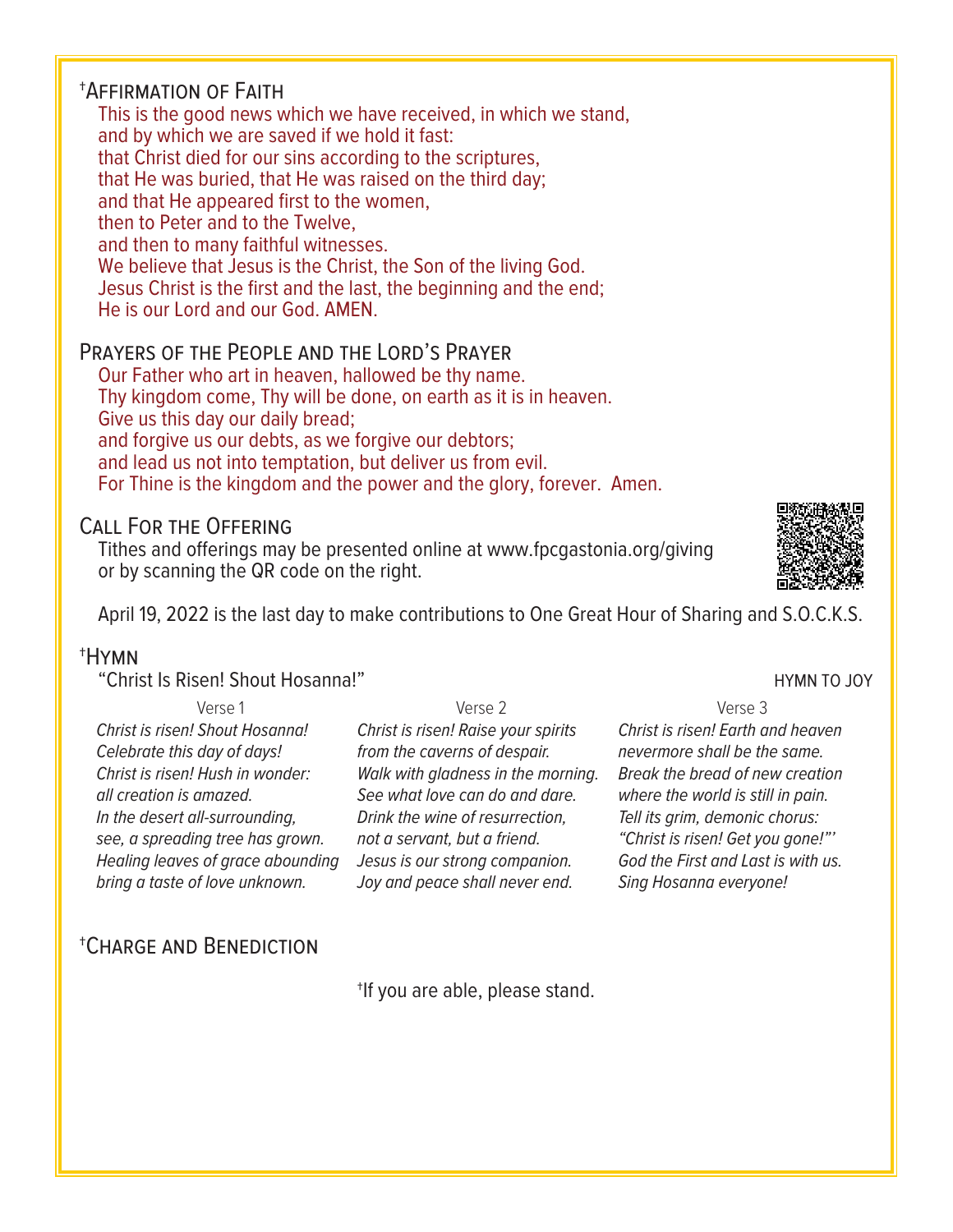## †Affirmation of Faith

This is the good news which we have received, in which we stand, and by which we are saved if we hold it fast: that Christ died for our sins according to the scriptures, that He was buried, that He was raised on the third day; and that He appeared first to the women, then to Peter and to the Twelve, and then to many faithful witnesses. We believe that Jesus is the Christ, the Son of the living God. Jesus Christ is the first and the last, the beginning and the end; He is our Lord and our God. AMEN.

## Prayers of the People and the Lord's Prayer

Our Father who art in heaven, hallowed be thy name. Thy kingdom come, Thy will be done, on earth as it is in heaven. Give us this day our daily bread; and forgive us our debts, as we forgive our debtors; and lead us not into temptation, but deliver us from evil. For Thine is the kingdom and the power and the glory, forever. Amen.

## Call For the Offering

Tithes and offerings may be presented online at www.fpcgastonia.org/giving or by scanning the QR code on the right.

April 19, 2022 is the last day to make contributions to One Great Hour of Sharing and S.O.C.K.S.

## †Hymn

"Christ Is Risen! Shout Hosanna!" The Christ Is Risen of the Hymn To Joy

| Verse 1                           |      |
|-----------------------------------|------|
| Christ is risen! Shout Hosanna!   | Chr  |
| Celebrate this day of days!       | fror |
| Christ is risen! Hush in wonder:  | Wal  |
| all creation is amazed.           | See  |
| In the desert all-surrounding,    | Drir |
| see, a spreading tree has grown.  | not  |
| Healing leaves of grace abounding | Jes  |
| bring a taste of love unknown.    | Jov  |

Verse 2 *Christ is risen! Raise your spirits from the caverns of despair. Walk with gladness in the morning.* what love can do and dare. *Drink the wine of resurrection,*  $a$  servant, but a friend. *Jesus is our strong companion.* and peace shall never end.

Verse 3 *Christ is risen! Earth and heaven nevermore shall be the same. Break the bread of new creation where the world is still in pain. Tell its grim, demonic chorus: "Christ is risen! Get you gone!"' God the First and Last is with us. Sing Hosanna everyone!*

## †Charge and Benediction

†If you are able, please stand.

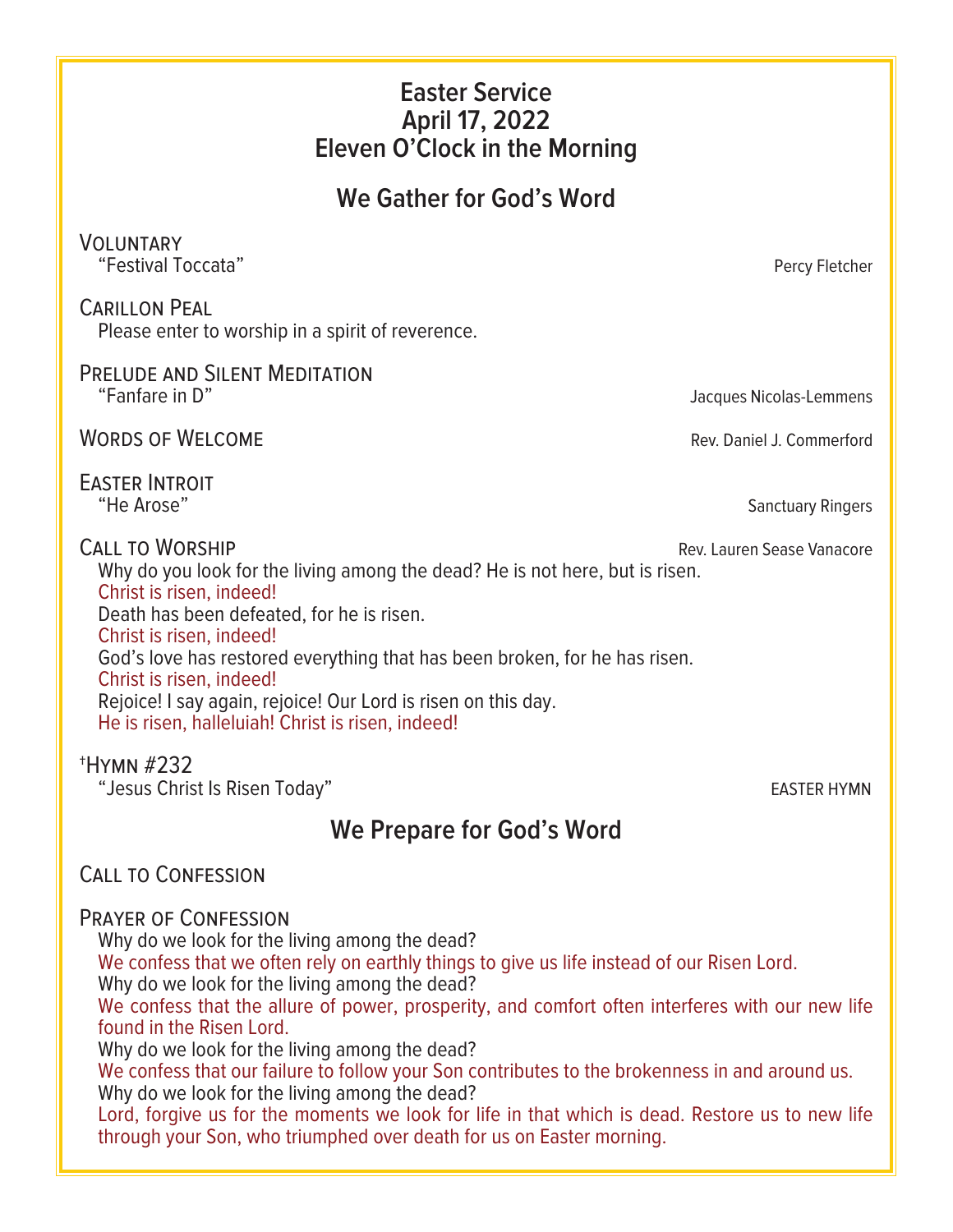## **Easter Service April 17, 2022 Eleven O'Clock in the Morning**

## **We Gather for God's Word**

## Voluntary

"Festival Toccata" Percy Fletcher

## Carillon Peal

Please enter to worship in a spirit of reverence.

# PRELUDE AND SILENT MEDITATION<br>"Fanfare in D"

WORDS OF WELCOME **Rev. Daniel J. Commerford** 

EASTER INTROIT<br>"He Arose"

Why do you look for the living among the dead? He is not here, but is risen.

Christ is risen, indeed! Death has been defeated, for he is risen. Christ is risen, indeed! God's love has restored everything that has been broken, for he has risen. Christ is risen, indeed! Rejoice! I say again, rejoice! Our Lord is risen on this day. He is risen, halleluiah! Christ is risen, indeed!

## †Hymn #232

"Jesus Christ Is Risen Today" **EASTER HYMN** 

## **We Prepare for God's Word**

## CALL TO CONFESSION

## Prayer of Confession

Why do we look for the living among the dead?

We confess that we often rely on earthly things to give us life instead of our Risen Lord. Why do we look for the living among the dead?

We confess that the allure of power, prosperity, and comfort often interferes with our new life found in the Risen Lord.

Why do we look for the living among the dead?

We confess that our failure to follow your Son contributes to the brokenness in and around us. Why do we look for the living among the dead?

Lord, forgive us for the moments we look for life in that which is dead. Restore us to new life through your Son, who triumphed over death for us on Easter morning.

CALL TO WORSHIP **CALL TO WORSHIP Rev. Lauren Sease Vanacore** 

Sanctuary Ringers

Jacques Nicolas-Lemmens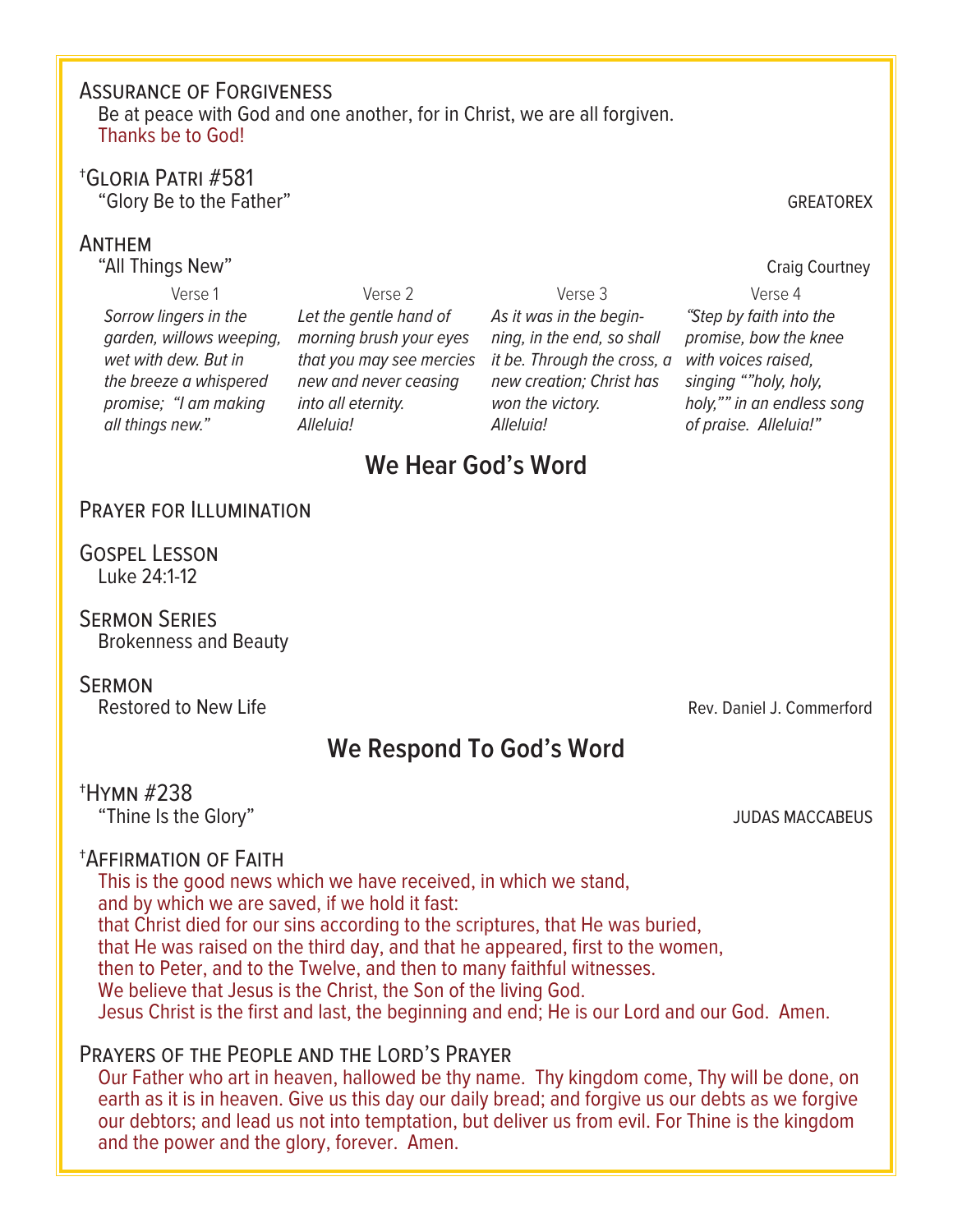## Assurance of Forgiveness

Be at peace with God and one another, for in Christ, we are all forgiven. Thanks be to God!

# †Gloria Patri #581 "Glory Be to the Father" GREATOREX

## Anthem

"All Things New" Craig Courtney

Verse 1 *Sorrow lingers in the garden, willows weeping, morning brush your eyes wet with dew. But in the breeze a whispered promise; "I am making all things new."*

Verse 2 *Let the gentle hand of new and never ceasing into all eternity. Alleluia!*

*that you may see mercies it be. Through the cross, a with voices raised,*  Verse 3 *As it was in the beginning, in the end, so shall new creation; Christ has won the victory. Alleluia!*

Verse 4 *"Step by faith into the promise, bow the knee singing ""holy, holy, holy,"" in an endless song of praise. Alleluia!"*

## **We Hear God's Word**

## Prayer for Illumination

Gospel Lesson Luke 24:1-12

Sermon Series Brokenness and Beauty

**SERMON**<br>Restored to New Life

Rev. Daniel J. Commerford

## **We Respond To God's Word**

## †Hymn #238

"Thine Is the Glory" JUDAS MACCABEUS

## †Affirmation of Faith

This is the good news which we have received, in which we stand, and by which we are saved, if we hold it fast: that Christ died for our sins according to the scriptures, that He was buried, that He was raised on the third day, and that he appeared, first to the women, then to Peter, and to the Twelve, and then to many faithful witnesses. We believe that Jesus is the Christ, the Son of the living God. Jesus Christ is the first and last, the beginning and end; He is our Lord and our God. Amen.

## PRAYERS OF THE PEOPLE AND THE LORD'S PRAYER

Our Father who art in heaven, hallowed be thy name. Thy kingdom come, Thy will be done, on earth as it is in heaven. Give us this day our daily bread; and forgive us our debts as we forgive our debtors; and lead us not into temptation, but deliver us from evil. For Thine is the kingdom and the power and the glory, forever. Amen.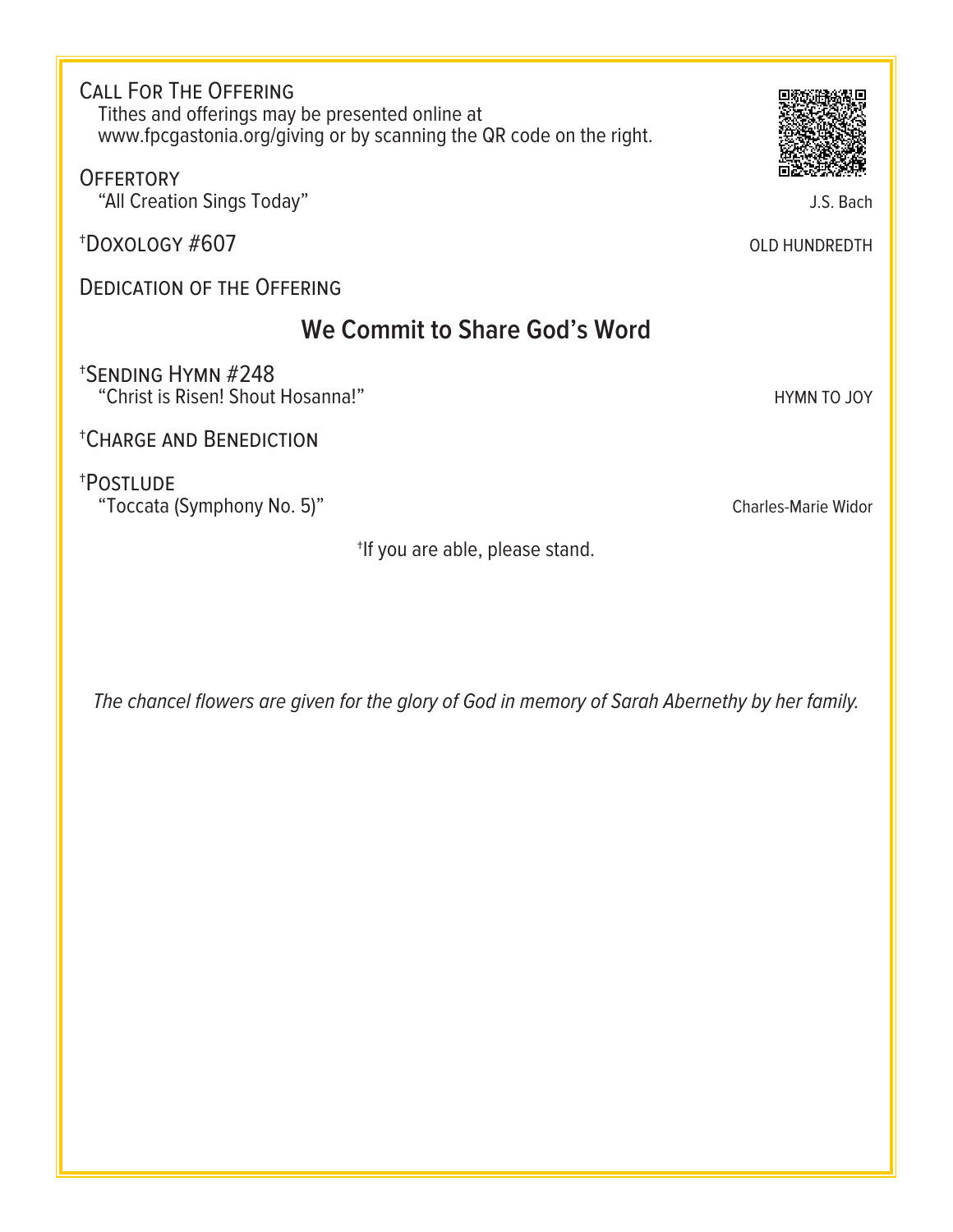Call For The Offering Tithes and offerings may be presented online at www.fpcgastonia.org/giving or by scanning the QR code on the right.

**OFFERTORY** "All Creation Sings Today" and the state of the state of the state of the state of the state of the state of the state of the state of the state of the state of the state of the state of the state of the state of the state

<sup>†</sup>Doxology #607 **OLD HUNDREDTH** 

DEDICATION OF THE OFFERING

## **We Commit to Share God's Word**

†Sending Hymn #248 "Christ is Risen! Shout Hosanna!" The Christ is Risen! Shout Hosanna!"

†Charge and Benediction

†Postlude

"Toccata (Symphony No. 5)" Charles-Marie Widor

†If you are able, please stand.

*The chancel flowers are given for the glory of God in memory of Sarah Abernethy by her family.*

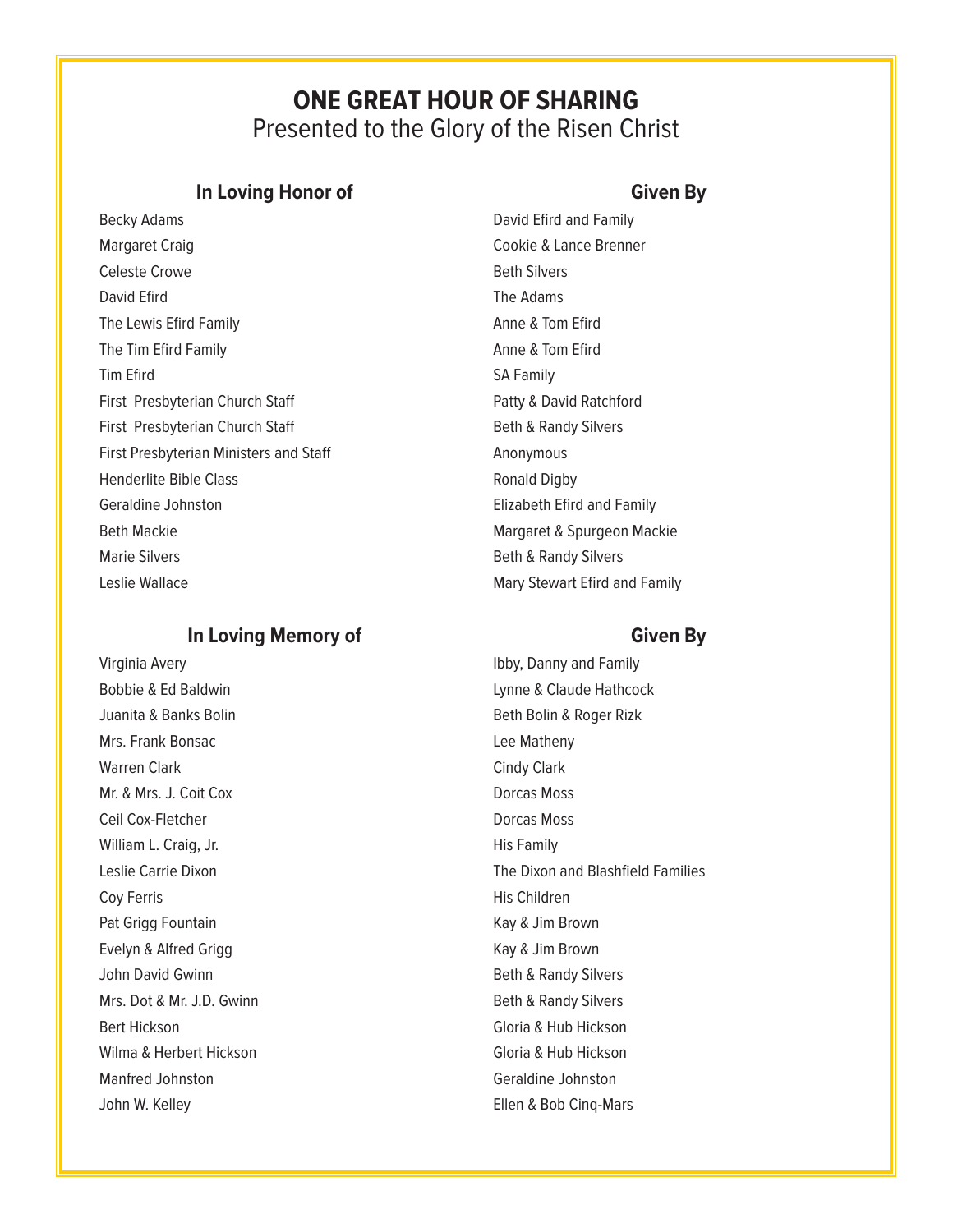## **ONE GREAT HOUR OF SHARING** Presented to the Glory of the Risen Christ

## **In Loving Honor of Given By**

Becky Adams **David Effect Adams** David Efird and Family Margaret Craig Cookie & Lance Brenner Celeste Crowe **Beth Silvers** David Efird **The Adams** The Lewis Efird Family **Anne & Tom Efird** Anne & Tom Efird The Tim Efird Family **Annual Strutter and Time A**nne & Tom Efird Tim Efird SA Family First Presbyterian Church Staff Patty & David Ratchford First Presbyterian Church Staff Beth & Randy Silvers First Presbyterian Ministers and Staff Manuscriptum Anonymous Henderlite Bible Class and the Class Ronald Digby Geraldine Johnston **Elizabeth Efird and Family** Beth Mackie Margaret & Spurgeon Mackie Marie Silvers **Beth & Randy Silvers** Beth & Randy Silvers Leslie Wallace **Mary Stewart Efird and Family** Mary Stewart Efird and Family

## **In Loving Memory of Given By**

Juanita & Banks Bolin **Business Community** Beth Bolin & Roger Rizk Mrs. Frank Bonsac **Lee Matheny** Warren Clark Cindy Clark Cindy Clark Mr. & Mrs. J. Coit Cox **Dorcas Moss** Ceil Cox-Fletcher **Dorcas Moss** William L. Craig, Jr. (2008) 2012 12:30 Milliam L. Craig, Jr. Coy Ferris **His Children** Pat Grigg Fountain **Accord Foundation** Kay & Jim Brown Evelyn & Alfred Grigg Kay & Jim Brown John David Gwinn **Beth & Randy Silvers** Beth & Randy Silvers Mrs. Dot & Mr. J.D. Gwinn Beth & Randy Silvers Bert Hickson Gloria & Hub Hickson Wilma & Herbert Hickson **Gloria & Hub Hickson** Manfred Johnston Geraldine Johnston John W. Kelley **Ellen & Bob Cinq-Mars** 

Virginia Avery **Ibby, Danny and Family** Bobbie & Ed Baldwin **Communist Communist Communist Communist Communist Communist Claude Hathcock** Leslie Carrie Dixon **The Dixon and Blashfield Families**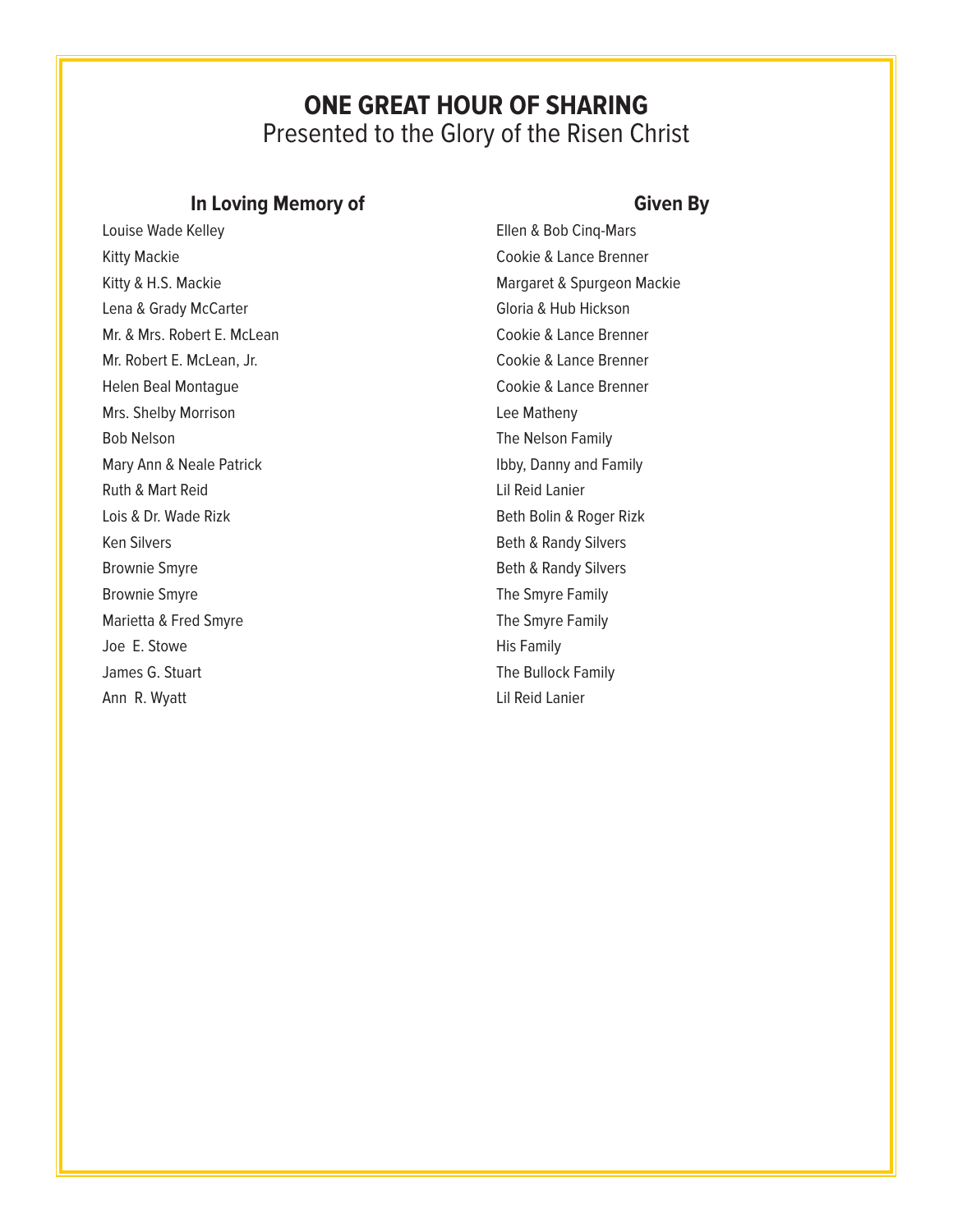## **ONE GREAT HOUR OF SHARING** Presented to the Glory of the Risen Christ

## **In Loving Memory of Given By**

Kitty Mackie **Cookie & Lance Brenner** Kitty & H.S. Mackie Margaret & Spurgeon Mackie Lena & Grady McCarter Carter Communication Cloria & Hub Hickson Mr. & Mrs. Robert E. McLean Cookie & Lance Brenner Mr. Robert E. McLean, Jr. Cookie & Lance Brenner Helen Beal Montague **Cookie & Lance Brenner** Mrs. Shelby Morrison **Lee Matheny** Bob Nelson **The Nelson Family** Mary Ann & Neale Patrick Ibby, Danny and Family Ruth & Mart Reid Lil Reid Lanier Lois & Dr. Wade Rizk Beth Bolin & Roger Rizk Ken Silvers **Beth & Randy Silvers Beth & Randy Silvers** Brownie Smyre **Brownie Smyre** Beth & Randy Silvers Brownie Smyre The Smyre Family Marietta & Fred Smyre The Smyre Family Joe E. Stowe **His Family** James G. Stuart **The Bullock Family** Ann R. Wyatt **Lil Reid Lanier** Lil Reid Lanier

Louise Wade Kelley **Ellen & Bob Cinq-Mars**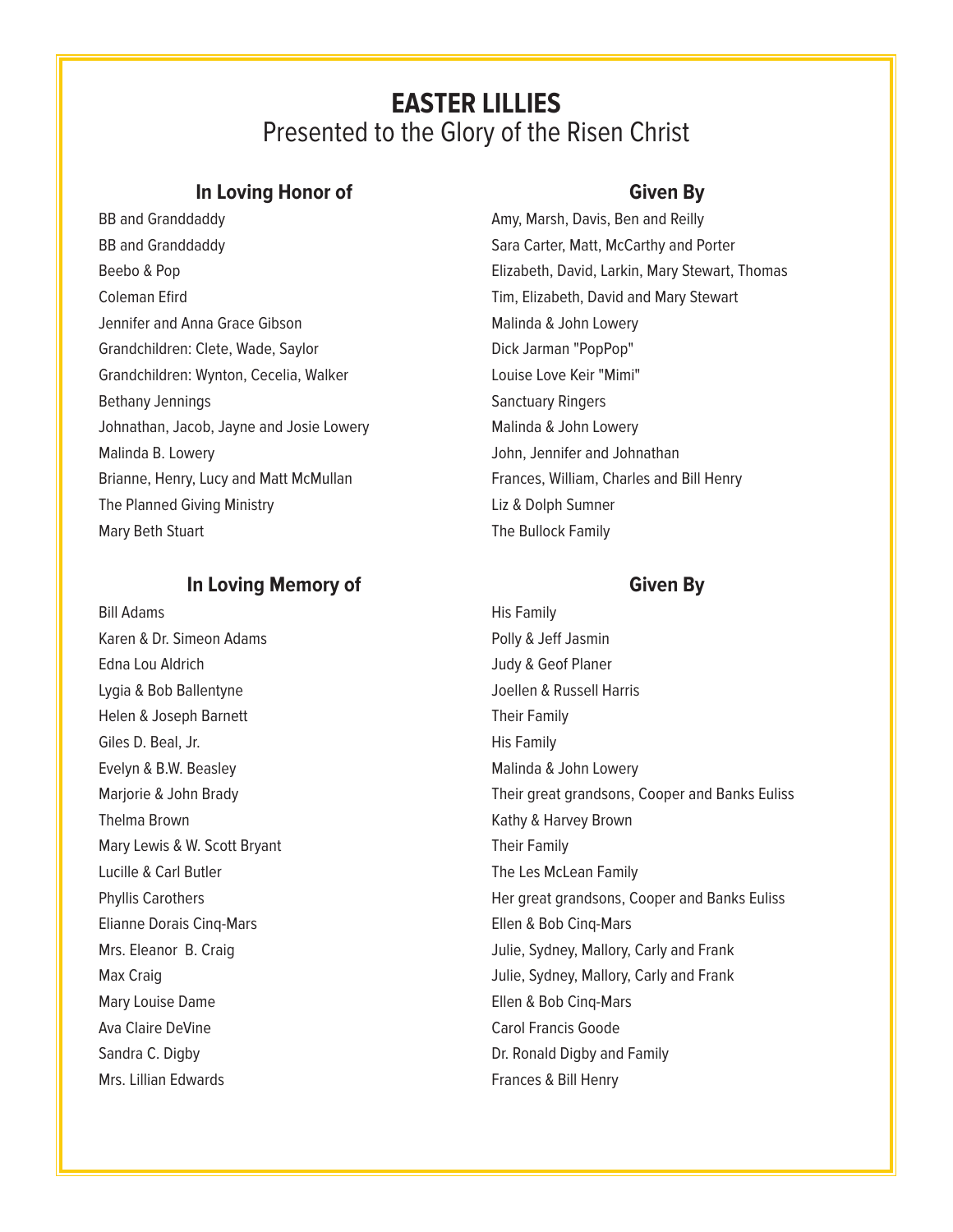## **EASTER LILLIES** Presented to the Glory of the Risen Christ

## **In Loving Honor of Given By**

BB and Granddaddy **Amy, Marsh, Davis, Ben and Reilly** Amy, Marsh, Davis, Ben and Reilly BB and Granddaddy **Sara Carter, Matt, McCarthy and Porter** Sara Carter, Matt, McCarthy and Porter Coleman Efird Tim, Elizabeth, David and Mary Stewart Jennifer and Anna Grace Gibson Malinda & John Lowery Grandchildren: Clete, Wade, Saylor **Dick Jarman "PopPop"** Grandchildren: Wynton, Cecelia, Walker Louise Love Keir "Mimi" Bethany Jennings **Sanctuary Ringers** Sanctuary Ringers Johnathan, Jacob, Jayne and Josie Lowery Malinda & John Lowery Malinda B. Lowery **Malinda B. Lowery John, Jennifer and Johnathan** Brianne, Henry, Lucy and Matt McMullan Frances, William, Charles and Bill Henry The Planned Giving Ministry **Access 19 and The Planner** Liz & Dolph Sumner Mary Beth Stuart **The Bullock Family** 

## **In Loving Memory of Given By**

Bill Adams His Family Karen & Dr. Simeon Adams **Access 18 Access 18 Access 18 Access 18 Access 18 Access 18 Access 18 Access 18 Access** Edna Lou Aldrich Communication Communication Communication Communication Communication Communication Communication Communication Communication Communication Communication Communication Communication Communication Communica Lygia & Bob Ballentyne Communication of the Joellen & Russell Harris Helen & Joseph Barnett Their Family Giles D. Beal, Jr. No. 1998, 1999, 1999, 1999, 1999, 1999, 1999, 1999, 1999, 1999, 1999, 1999, 1999, 1999, 199 Evelyn & B.W. Beasley Malinda & John Lowery Thelma Brown **Kathy & Harvey Brown** Kathy & Harvey Brown Mary Lewis & W. Scott Bryant Their Family Lucille & Carl Butler The Les McLean Family Elianne Dorais Cinq-Mars Ellen & Bob Cinq-Mars Mary Louise Dame **Ellen & Bob Cinq-Mars** Ava Claire DeVine Carol Francis Goode Sandra C. Digby **Dr. Ronald Digby and Family** Dr. Ronald Digby and Family Mrs. Lillian Edwards **Frances & Bill Henry** Frances & Bill Henry

Beebo & Pop Elizabeth, David, Larkin, Mary Stewart, Thomas

Marjorie & John Brady Their great grandsons, Cooper and Banks Euliss Phyllis Carothers **Her great grandsons, Cooper and Banks Euliss** Mrs. Eleanor B. Craig **Julie, Sydney, Mallory, Carly and Frank** Max Craig **Max Craig Julie**, Sydney, Mallory, Carly and Frank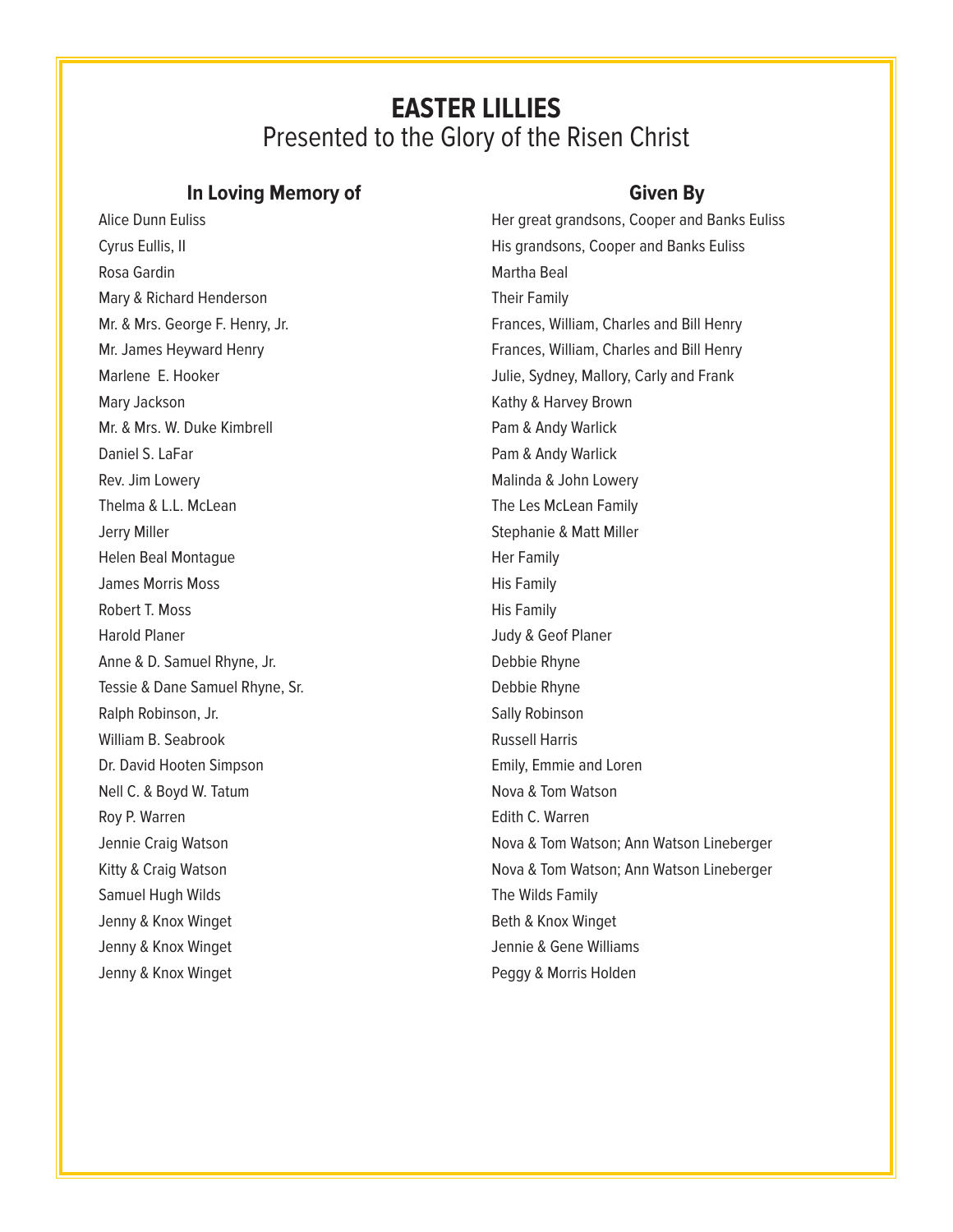## **EASTER LILLIES** Presented to the Glory of the Risen Christ

## **In Loving Memory of Given By**

Rosa Gardin National Association of the Martha Beal Mary & Richard Henderson Their Family Mary Jackson **Kathy & Harvey Brown** Kathy & Harvey Brown Mr. & Mrs. W. Duke Kimbrell **Pam & Andy Warlick** Daniel S. LaFar Pam & Andy Warlick Rev. Jim Lowery **Malinda & John Lowery** Malinda & John Lowery Thelma & L.L. McLean The Les McLean Family Jerry Miller **Stephanie & Matt Miller** Helen Beal Montague **Her Family** James Morris Moss **His Family** Robert T. Moss **His Family** Harold Planer **Harold Planer Harold Planer** Judy & Geof Planer Anne & D. Samuel Rhyne, Jr. (2008) 2012 12:30 Debbie Rhyne Tessie & Dane Samuel Rhyne, Sr. Change and School and Debbie Rhyne Ralph Robinson, Jr. Sally Robinson, Sally Robinson William B. Seabrook **Russell Harris** Russell Harris Dr. David Hooten Simpson **Emily, Emmie and Loren** Nell C. & Boyd W. Tatum Nova & Tom Watson Roy P. Warren **Edith C. Warren** Samuel Hugh Wilds **The Wilds Family** Jenny & Knox Winget **Beth & Knox Winget** Beth & Knox Winget Jenny & Knox Winget Jennie & Gene Williams Jenny & Knox Winget **Peggy & Morris Holden** 

Alice Dunn Euliss **Hermannia Euliss** Her great grandsons, Cooper and Banks Euliss Cyrus Eullis, II His grandsons, Cooper and Banks Euliss Mr. & Mrs. George F. Henry, Jr. The Music Communist Charles and Bill Henry Mr. James Heyward Henry Theory of Trances, William, Charles and Bill Henry Marlene E. Hooker **Marlene E. Hooker** Allen Marlene E. Hooker and Frank Jennie Craig Watson Nova & Tom Watson; Ann Watson Lineberger Kitty & Craig Watson **Nova & Tom Watson; Ann Watson Lineberger**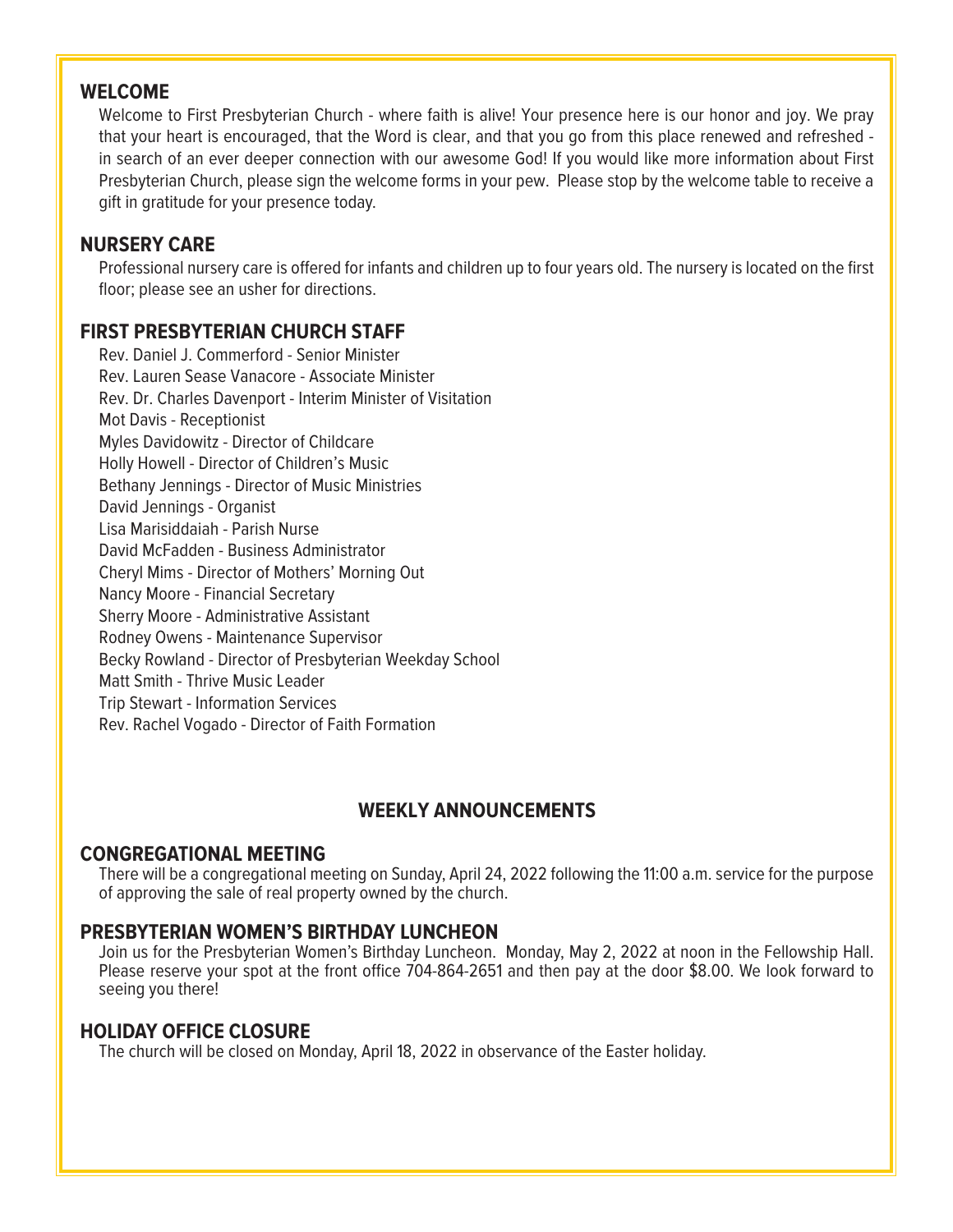## **WELCOME**

Welcome to First Presbyterian Church - where faith is alive! Your presence here is our honor and joy. We pray that your heart is encouraged, that the Word is clear, and that you go from this place renewed and refreshed in search of an ever deeper connection with our awesome God! If you would like more information about First Presbyterian Church, please sign the welcome forms in your pew. Please stop by the welcome table to receive a gift in gratitude for your presence today.

## **NURSERY CARE**

Professional nursery care is offered for infants and children up to four years old. The nursery is located on the first floor; please see an usher for directions.

## **FIRST PRESBYTERIAN CHURCH STAFF**

Rev. Daniel J. Commerford - Senior Minister Rev. Lauren Sease Vanacore - Associate Minister Rev. Dr. Charles Davenport - Interim Minister of Visitation Mot Davis - Receptionist Myles Davidowitz - Director of Childcare Holly Howell - Director of Children's Music Bethany Jennings - Director of Music Ministries David Jennings - Organist Lisa Marisiddaiah - Parish Nurse David McFadden - Business Administrator Cheryl Mims - Director of Mothers' Morning Out Nancy Moore - Financial Secretary Sherry Moore - Administrative Assistant Rodney Owens - Maintenance Supervisor Becky Rowland - Director of Presbyterian Weekday School Matt Smith - Thrive Music Leader Trip Stewart - Information Services Rev. Rachel Vogado - Director of Faith Formation

## **WEEKLY ANNOUNCEMENTS**

## **CONGREGATIONAL MEETING**

There will be a congregational meeting on Sunday, April 24, 2022 following the 11:00 a.m. service for the purpose of approving the sale of real property owned by the church.

## **PRESBYTERIAN WOMEN'S BIRTHDAY LUNCHEON**

Join us for the Presbyterian Women's Birthday Luncheon. Monday, May 2, 2022 at noon in the Fellowship Hall. Please reserve your spot at the front office 704-864-2651 and then pay at the door \$8.00. We look forward to seeing you there!

## **HOLIDAY OFFICE CLOSURE**

The church will be closed on Monday, April 18, 2022 in observance of the Easter holiday.